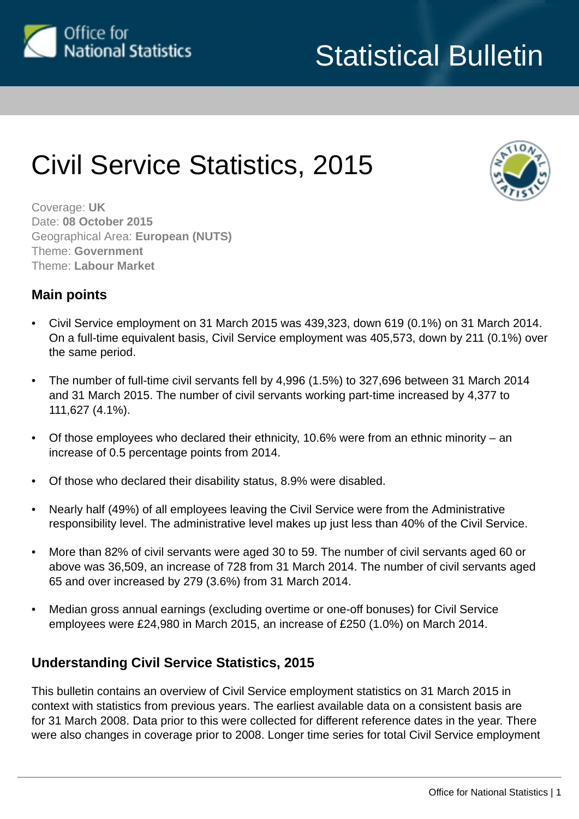

# Civil Service Statistics, 2015



Coverage: **UK** Date: **08 October 2015** Geographical Area: **European (NUTS)** Theme: **Government** Theme: **Labour Market**

# **Main points**

- Civil Service employment on 31 March 2015 was 439,323, down 619 (0.1%) on 31 March 2014. On a full-time equivalent basis, Civil Service employment was 405,573, down by 211 (0.1%) over the same period.
- The number of full-time civil servants fell by 4,996 (1.5%) to 327,696 between 31 March 2014 and 31 March 2015. The number of civil servants working part-time increased by 4,377 to 111,627 (4.1%).
- Of those employees who declared their ethnicity, 10.6% were from an ethnic minority an increase of 0.5 percentage points from 2014.
- Of those who declared their disability status, 8.9% were disabled.
- Nearly half (49%) of all employees leaving the Civil Service were from the Administrative responsibility level. The administrative level makes up just less than 40% of the Civil Service.
- More than 82% of civil servants were aged 30 to 59. The number of civil servants aged 60 or above was 36,509, an increase of 728 from 31 March 2014. The number of civil servants aged 65 and over increased by 279 (3.6%) from 31 March 2014.
- Median gross annual earnings (excluding overtime or one-off bonuses) for Civil Service employees were £24,980 in March 2015, an increase of £250 (1.0%) on March 2014.

# **Understanding Civil Service Statistics, 2015**

This bulletin contains an overview of Civil Service employment statistics on 31 March 2015 in context with statistics from previous years. The earliest available data on a consistent basis are for 31 March 2008. Data prior to this were collected for different reference dates in the year. There were also changes in coverage prior to 2008. Longer time series for total Civil Service employment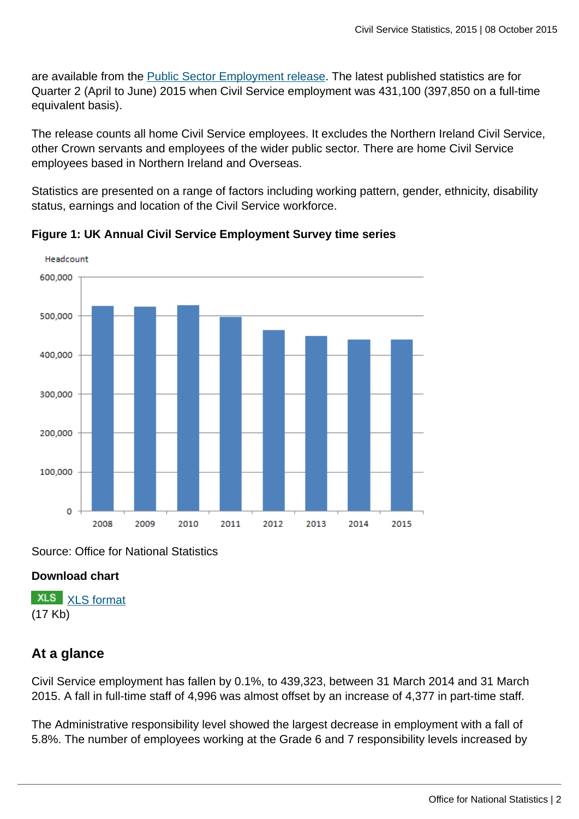are available from the [Public Sector Employment release](http://www.ons.gov.uk:80/ons/rel/pse/public-sector-employment/index.html). The latest published statistics are for Quarter 2 (April to June) 2015 when Civil Service employment was 431,100 (397,850 on a full-time equivalent basis).

The release counts all home Civil Service employees. It excludes the Northern Ireland Civil Service, other Crown servants and employees of the wider public sector. There are home Civil Service employees based in Northern Ireland and Overseas.

Statistics are presented on a range of factors including working pattern, gender, ethnicity, disability status, earnings and location of the Civil Service workforce.



**Figure 1: UK Annual Civil Service Employment Survey time series**

Source: Office for National Statistics

# **Download chart**

**XLS** [XLS format](http://www.ons.gov.uk:80/ons/rel/pse/civil-service-statistics/2015/chd-chart-01.xls) (17 Kb)

# **At a glance**

Civil Service employment has fallen by 0.1%, to 439,323, between 31 March 2014 and 31 March 2015. A fall in full-time staff of 4,996 was almost offset by an increase of 4,377 in part-time staff.

The Administrative responsibility level showed the largest decrease in employment with a fall of 5.8%. The number of employees working at the Grade 6 and 7 responsibility levels increased by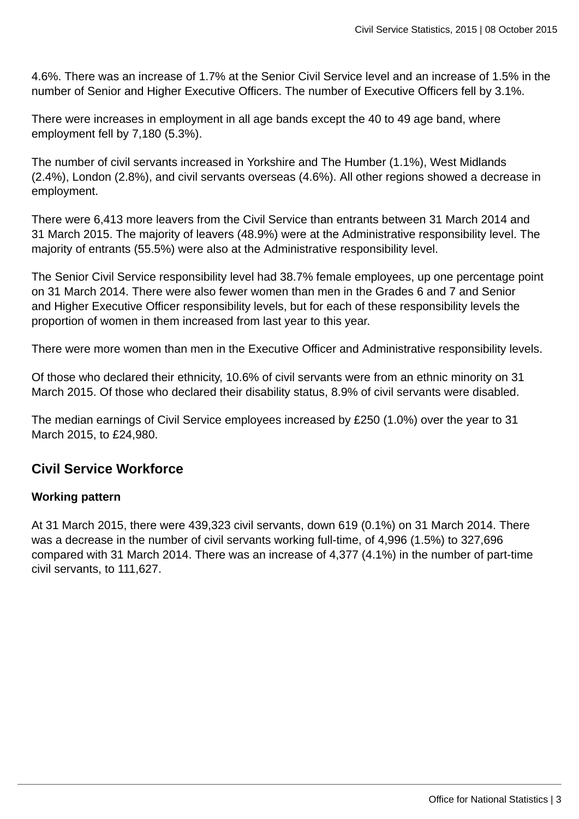4.6%. There was an increase of 1.7% at the Senior Civil Service level and an increase of 1.5% in the number of Senior and Higher Executive Officers. The number of Executive Officers fell by 3.1%.

There were increases in employment in all age bands except the 40 to 49 age band, where employment fell by 7,180 (5.3%).

The number of civil servants increased in Yorkshire and The Humber (1.1%), West Midlands (2.4%), London (2.8%), and civil servants overseas (4.6%). All other regions showed a decrease in employment.

There were 6,413 more leavers from the Civil Service than entrants between 31 March 2014 and 31 March 2015. The majority of leavers (48.9%) were at the Administrative responsibility level. The majority of entrants (55.5%) were also at the Administrative responsibility level.

The Senior Civil Service responsibility level had 38.7% female employees, up one percentage point on 31 March 2014. There were also fewer women than men in the Grades 6 and 7 and Senior and Higher Executive Officer responsibility levels, but for each of these responsibility levels the proportion of women in them increased from last year to this year.

There were more women than men in the Executive Officer and Administrative responsibility levels.

Of those who declared their ethnicity, 10.6% of civil servants were from an ethnic minority on 31 March 2015. Of those who declared their disability status, 8.9% of civil servants were disabled.

The median earnings of Civil Service employees increased by £250 (1.0%) over the year to 31 March 2015, to £24,980.

# **Civil Service Workforce**

#### **Working pattern**

At 31 March 2015, there were 439,323 civil servants, down 619 (0.1%) on 31 March 2014. There was a decrease in the number of civil servants working full-time, of 4,996 (1.5%) to 327,696 compared with 31 March 2014. There was an increase of 4,377 (4.1%) in the number of part-time civil servants, to 111,627.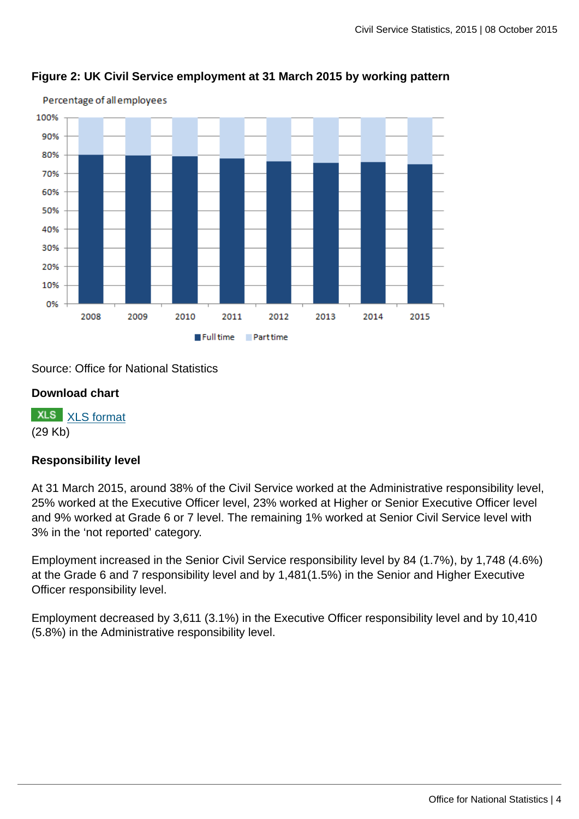

# **Figure 2: UK Civil Service employment at 31 March 2015 by working pattern**

Source: Office for National Statistics

#### **Download chart**

**XLS** [XLS format](http://www.ons.gov.uk:80/ons/rel/pse/civil-service-statistics/2015/chd-chart-02.xls) (29 Kb)

#### **Responsibility level**

At 31 March 2015, around 38% of the Civil Service worked at the Administrative responsibility level, 25% worked at the Executive Officer level, 23% worked at Higher or Senior Executive Officer level and 9% worked at Grade 6 or 7 level. The remaining 1% worked at Senior Civil Service level with 3% in the 'not reported' category.

Employment increased in the Senior Civil Service responsibility level by 84 (1.7%), by 1,748 (4.6%) at the Grade 6 and 7 responsibility level and by 1,481(1.5%) in the Senior and Higher Executive Officer responsibility level.

Employment decreased by 3,611 (3.1%) in the Executive Officer responsibility level and by 10,410 (5.8%) in the Administrative responsibility level.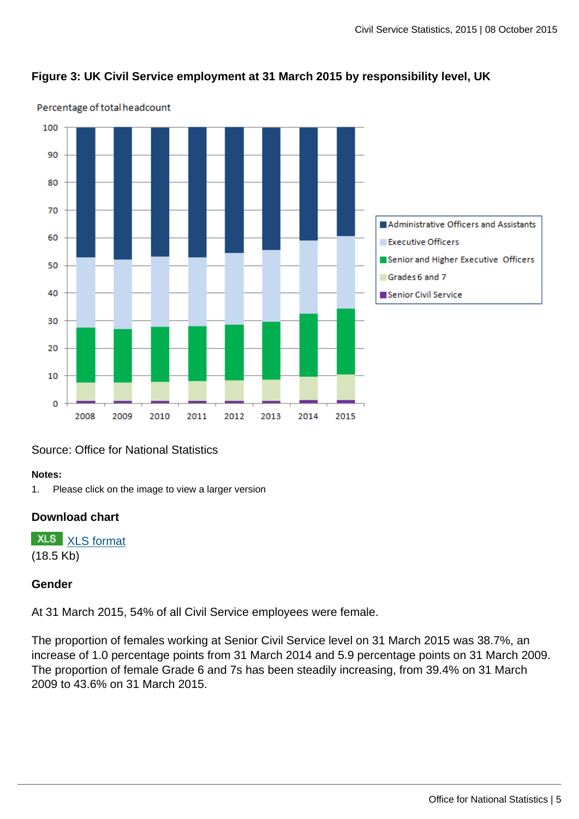#### **Figure 3: UK Civil Service employment at 31 March 2015 by responsibility level, UK**



#### Percentage of total headcount

# Source: Office for National Statistics

#### **Notes:**

1. Please click on the image to view a larger version

#### **Download chart**

**XLS** [XLS format](http://www.ons.gov.uk:80/ons/rel/pse/civil-service-statistics/2015/chd-chart-03.xls) (18.5 Kb)

#### **Gender**

At 31 March 2015, 54% of all Civil Service employees were female.

The proportion of females working at Senior Civil Service level on 31 March 2015 was 38.7%, an increase of 1.0 percentage points from 31 March 2014 and 5.9 percentage points on 31 March 2009. The proportion of female Grade 6 and 7s has been steadily increasing, from 39.4% on 31 March 2009 to 43.6% on 31 March 2015.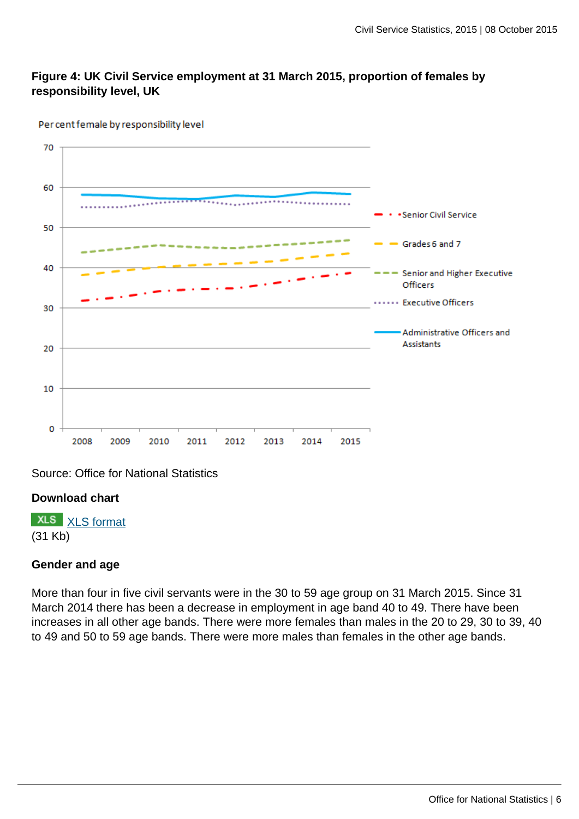# **Figure 4: UK Civil Service employment at 31 March 2015, proportion of females by responsibility level, UK**



Per cent female by responsibility level

Source: Office for National Statistics

#### **Download chart**

**XLS** [XLS format](http://www.ons.gov.uk:80/ons/rel/pse/civil-service-statistics/2015/chd-chart-04.xls) (31 Kb)

#### **Gender and age**

More than four in five civil servants were in the 30 to 59 age group on 31 March 2015. Since 31 March 2014 there has been a decrease in employment in age band 40 to 49. There have been increases in all other age bands. There were more females than males in the 20 to 29, 30 to 39, 40 to 49 and 50 to 59 age bands. There were more males than females in the other age bands.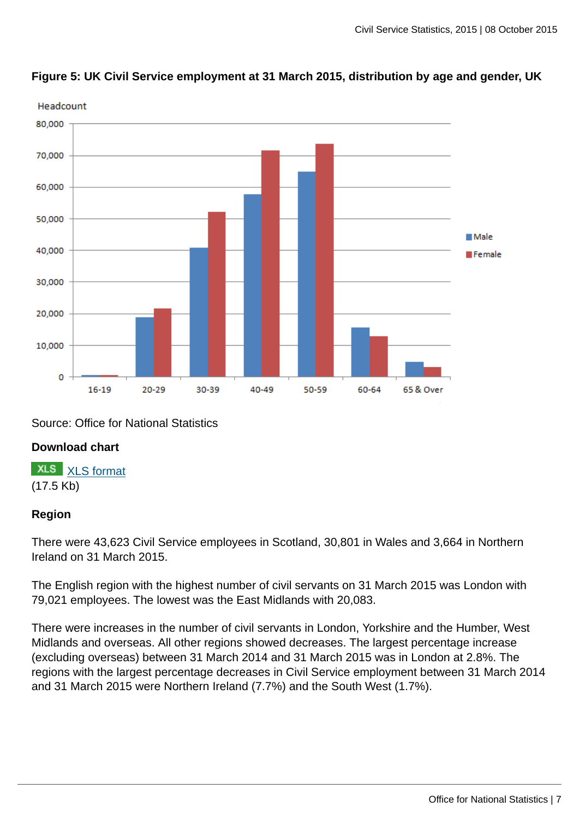

# **Figure 5: UK Civil Service employment at 31 March 2015, distribution by age and gender, UK**

Source: Office for National Statistics

# **Download chart**

**XLS** [XLS format](http://www.ons.gov.uk:80/ons/rel/pse/civil-service-statistics/2015/chd-chart-05.xls) (17.5 Kb)

# **Region**

There were 43,623 Civil Service employees in Scotland, 30,801 in Wales and 3,664 in Northern Ireland on 31 March 2015.

The English region with the highest number of civil servants on 31 March 2015 was London with 79,021 employees. The lowest was the East Midlands with 20,083.

There were increases in the number of civil servants in London, Yorkshire and the Humber, West Midlands and overseas. All other regions showed decreases. The largest percentage increase (excluding overseas) between 31 March 2014 and 31 March 2015 was in London at 2.8%. The regions with the largest percentage decreases in Civil Service employment between 31 March 2014 and 31 March 2015 were Northern Ireland (7.7%) and the South West (1.7%).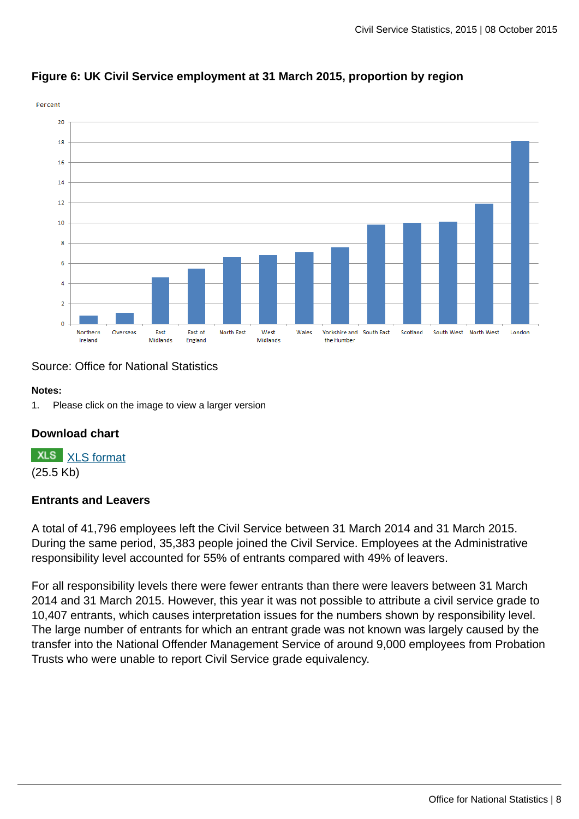

# **Figure 6: UK Civil Service employment at 31 March 2015, proportion by region**

# Source: Office for National Statistics

#### **Notes:**

1. Please click on the image to view a larger version

# **Download chart**

**XLS** [XLS format](http://www.ons.gov.uk:80/ons/rel/pse/civil-service-statistics/2015/chd-chart-06.xls) (25.5 Kb)

#### **Entrants and Leavers**

A total of 41,796 employees left the Civil Service between 31 March 2014 and 31 March 2015. During the same period, 35,383 people joined the Civil Service. Employees at the Administrative responsibility level accounted for 55% of entrants compared with 49% of leavers.

For all responsibility levels there were fewer entrants than there were leavers between 31 March 2014 and 31 March 2015. However, this year it was not possible to attribute a civil service grade to 10,407 entrants, which causes interpretation issues for the numbers shown by responsibility level. The large number of entrants for which an entrant grade was not known was largely caused by the transfer into the National Offender Management Service of around 9,000 employees from Probation Trusts who were unable to report Civil Service grade equivalency.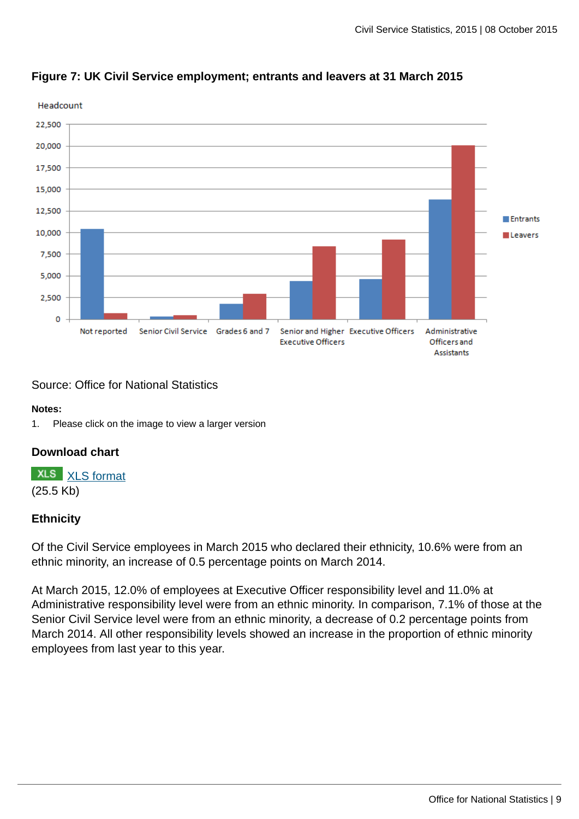

# **Figure 7: UK Civil Service employment; entrants and leavers at 31 March 2015**

Source: Office for National Statistics

#### **Notes:**

1. Please click on the image to view a larger version

# **Download chart**

**XLS** [XLS format](http://www.ons.gov.uk:80/ons/rel/pse/civil-service-statistics/2015/chd-chart-07.xls) (25.5 Kb)

# **Ethnicity**

Of the Civil Service employees in March 2015 who declared their ethnicity, 10.6% were from an ethnic minority, an increase of 0.5 percentage points on March 2014.

At March 2015, 12.0% of employees at Executive Officer responsibility level and 11.0% at Administrative responsibility level were from an ethnic minority. In comparison, 7.1% of those at the Senior Civil Service level were from an ethnic minority, a decrease of 0.2 percentage points from March 2014. All other responsibility levels showed an increase in the proportion of ethnic minority employees from last year to this year.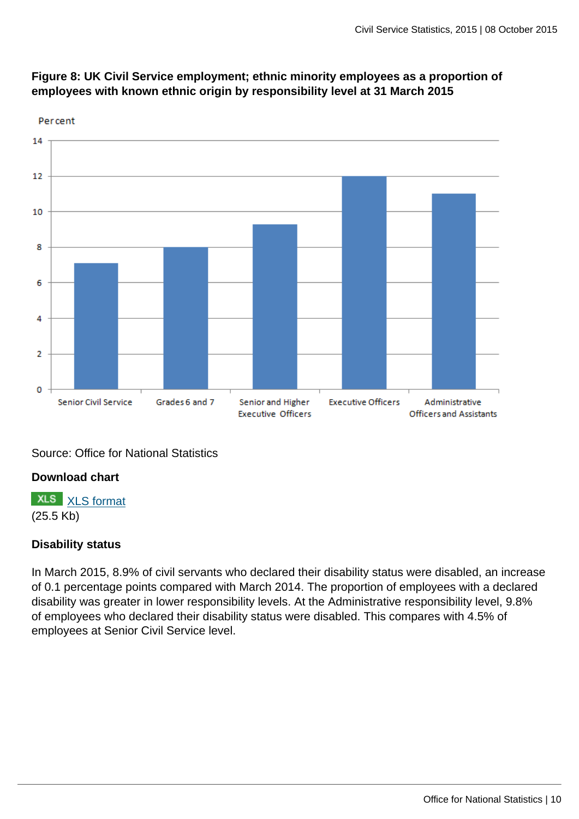

# **Figure 8: UK Civil Service employment; ethnic minority employees as a proportion of employees with known ethnic origin by responsibility level at 31 March 2015**

Source: Office for National Statistics

# **Download chart**

**XLS** [XLS format](http://www.ons.gov.uk:80/ons/rel/pse/civil-service-statistics/2015/chd-chart-08.xls) (25.5 Kb)

# **Disability status**

In March 2015, 8.9% of civil servants who declared their disability status were disabled, an increase of 0.1 percentage points compared with March 2014. The proportion of employees with a declared disability was greater in lower responsibility levels. At the Administrative responsibility level, 9.8% of employees who declared their disability status were disabled. This compares with 4.5% of employees at Senior Civil Service level.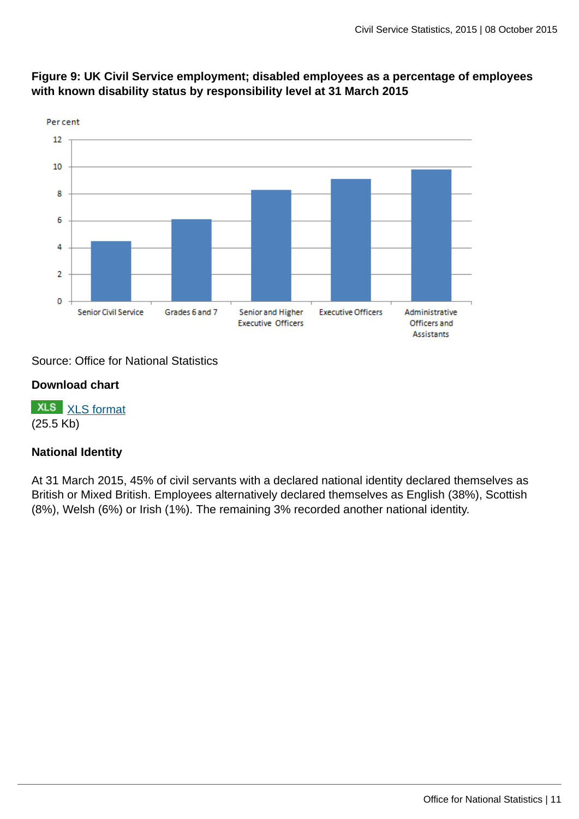

# **Figure 9: UK Civil Service employment; disabled employees as a percentage of employees with known disability status by responsibility level at 31 March 2015**

# Source: Office for National Statistics

#### **Download chart**

**XLS** [XLS format](http://www.ons.gov.uk:80/ons/rel/pse/civil-service-statistics/2015/chd-chart-09.xls) (25.5 Kb)

# **National Identity**

At 31 March 2015, 45% of civil servants with a declared national identity declared themselves as British or Mixed British. Employees alternatively declared themselves as English (38%), Scottish (8%), Welsh (6%) or Irish (1%). The remaining 3% recorded another national identity.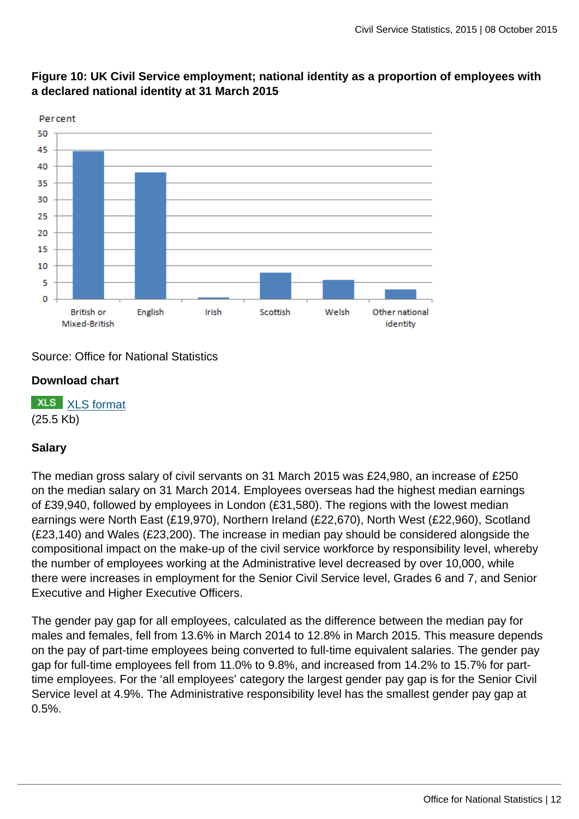

# **Figure 10: UK Civil Service employment; national identity as a proportion of employees with a declared national identity at 31 March 2015**

Source: Office for National Statistics

# **Download chart**

**XLS** [XLS format](http://www.ons.gov.uk:80/ons/rel/pse/civil-service-statistics/2015/chd-chart-10.xls) (25.5 Kb)

# **Salary**

The median gross salary of civil servants on 31 March 2015 was £24,980, an increase of £250 on the median salary on 31 March 2014. Employees overseas had the highest median earnings of £39,940, followed by employees in London (£31,580). The regions with the lowest median earnings were North East (£19,970), Northern Ireland (£22,670), North West (£22,960), Scotland (£23,140) and Wales (£23,200). The increase in median pay should be considered alongside the compositional impact on the make-up of the civil service workforce by responsibility level, whereby the number of employees working at the Administrative level decreased by over 10,000, while there were increases in employment for the Senior Civil Service level, Grades 6 and 7, and Senior Executive and Higher Executive Officers.

The gender pay gap for all employees, calculated as the difference between the median pay for males and females, fell from 13.6% in March 2014 to 12.8% in March 2015. This measure depends on the pay of part-time employees being converted to full-time equivalent salaries. The gender pay gap for full-time employees fell from 11.0% to 9.8%, and increased from 14.2% to 15.7% for parttime employees. For the 'all employees' category the largest gender pay gap is for the Senior Civil Service level at 4.9%. The Administrative responsibility level has the smallest gender pay gap at 0.5%.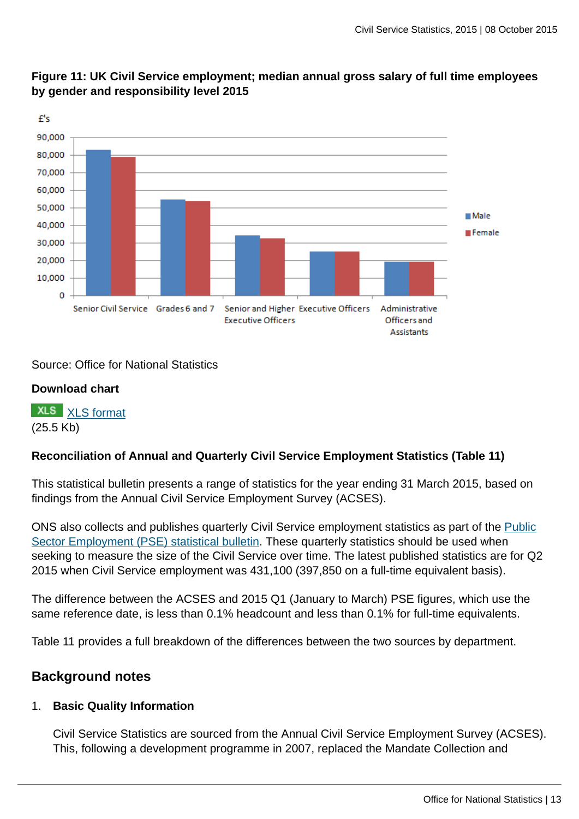

# **Figure 11: UK Civil Service employment; median annual gross salary of full time employees by gender and responsibility level 2015**

Source: Office for National Statistics

# **Download chart**

**XLS** [XLS format](http://www.ons.gov.uk:80/ons/rel/pse/civil-service-statistics/2015/chd-chart-11.xls) (25.5 Kb)

# **Reconciliation of Annual and Quarterly Civil Service Employment Statistics (Table 11)**

This statistical bulletin presents a range of statistics for the year ending 31 March 2015, based on findings from the Annual Civil Service Employment Survey (ACSES).

ONS also collects and publishes quarterly Civil Service employment statistics as part of the [Public](http://www.ons.gov.uk:80/ons/rel/pse/public-sector-employment/index.html) [Sector Employment \(PSE\) statistical bulletin](http://www.ons.gov.uk:80/ons/rel/pse/public-sector-employment/index.html). These quarterly statistics should be used when seeking to measure the size of the Civil Service over time. The latest published statistics are for Q2 2015 when Civil Service employment was 431,100 (397,850 on a full-time equivalent basis).

The difference between the ACSES and 2015 Q1 (January to March) PSE figures, which use the same reference date, is less than 0.1% headcount and less than 0.1% for full-time equivalents.

Table 11 provides a full breakdown of the differences between the two sources by department.

# **Background notes**

# 1. **Basic Quality Information**

Civil Service Statistics are sourced from the Annual Civil Service Employment Survey (ACSES). This, following a development programme in 2007, replaced the Mandate Collection and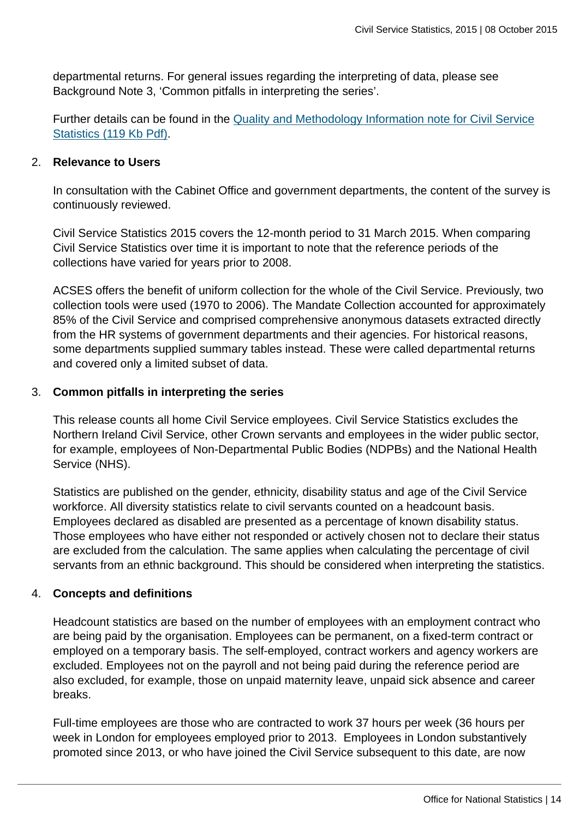departmental returns. For general issues regarding the interpreting of data, please see Background Note 3, 'Common pitfalls in interpreting the series'.

Further details can be found in the [Quality and Methodology Information note for Civil Service](http://www.ons.gov.uk:80/ons/guide-method/method-quality/quality/quality-information/business-statistics/annual-civil-service-employment-survey.pdf) [Statistics \(119 Kb Pdf\)](http://www.ons.gov.uk:80/ons/guide-method/method-quality/quality/quality-information/business-statistics/annual-civil-service-employment-survey.pdf).

#### 2. **Relevance to Users**

In consultation with the Cabinet Office and government departments, the content of the survey is continuously reviewed.

Civil Service Statistics 2015 covers the 12-month period to 31 March 2015. When comparing Civil Service Statistics over time it is important to note that the reference periods of the collections have varied for years prior to 2008.

ACSES offers the benefit of uniform collection for the whole of the Civil Service. Previously, two collection tools were used (1970 to 2006). The Mandate Collection accounted for approximately 85% of the Civil Service and comprised comprehensive anonymous datasets extracted directly from the HR systems of government departments and their agencies. For historical reasons, some departments supplied summary tables instead. These were called departmental returns and covered only a limited subset of data.

#### 3. **Common pitfalls in interpreting the series**

This release counts all home Civil Service employees. Civil Service Statistics excludes the Northern Ireland Civil Service, other Crown servants and employees in the wider public sector, for example, employees of Non-Departmental Public Bodies (NDPBs) and the National Health Service (NHS).

Statistics are published on the gender, ethnicity, disability status and age of the Civil Service workforce. All diversity statistics relate to civil servants counted on a headcount basis. Employees declared as disabled are presented as a percentage of known disability status. Those employees who have either not responded or actively chosen not to declare their status are excluded from the calculation. The same applies when calculating the percentage of civil servants from an ethnic background. This should be considered when interpreting the statistics.

#### 4. **Concepts and definitions**

Headcount statistics are based on the number of employees with an employment contract who are being paid by the organisation. Employees can be permanent, on a fixed-term contract or employed on a temporary basis. The self-employed, contract workers and agency workers are excluded. Employees not on the payroll and not being paid during the reference period are also excluded, for example, those on unpaid maternity leave, unpaid sick absence and career breaks.

Full-time employees are those who are contracted to work 37 hours per week (36 hours per week in London for employees employed prior to 2013. Employees in London substantively promoted since 2013, or who have joined the Civil Service subsequent to this date, are now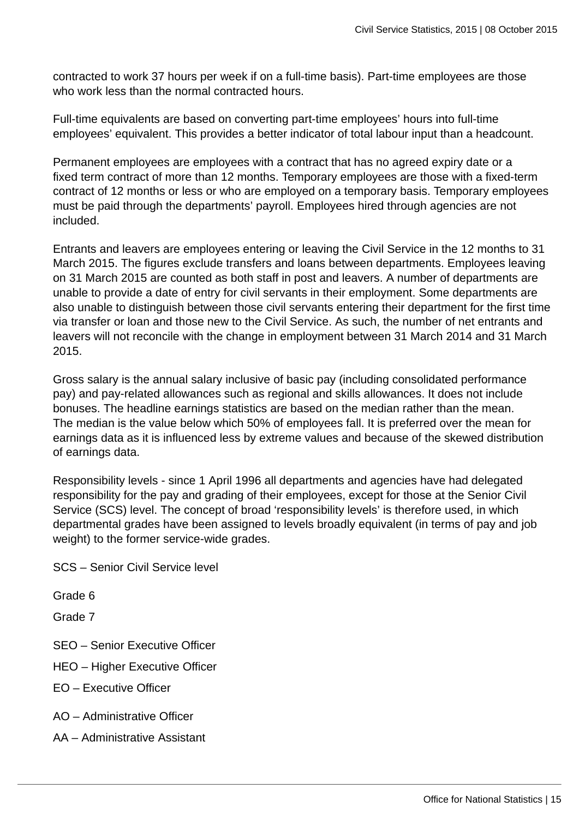contracted to work 37 hours per week if on a full-time basis). Part-time employees are those who work less than the normal contracted hours.

Full-time equivalents are based on converting part-time employees' hours into full-time employees' equivalent. This provides a better indicator of total labour input than a headcount.

Permanent employees are employees with a contract that has no agreed expiry date or a fixed term contract of more than 12 months. Temporary employees are those with a fixed-term contract of 12 months or less or who are employed on a temporary basis. Temporary employees must be paid through the departments' payroll. Employees hired through agencies are not included.

Entrants and leavers are employees entering or leaving the Civil Service in the 12 months to 31 March 2015. The figures exclude transfers and loans between departments. Employees leaving on 31 March 2015 are counted as both staff in post and leavers. A number of departments are unable to provide a date of entry for civil servants in their employment. Some departments are also unable to distinguish between those civil servants entering their department for the first time via transfer or loan and those new to the Civil Service. As such, the number of net entrants and leavers will not reconcile with the change in employment between 31 March 2014 and 31 March 2015.

Gross salary is the annual salary inclusive of basic pay (including consolidated performance pay) and pay-related allowances such as regional and skills allowances. It does not include bonuses. The headline earnings statistics are based on the median rather than the mean. The median is the value below which 50% of employees fall. It is preferred over the mean for earnings data as it is influenced less by extreme values and because of the skewed distribution of earnings data.

Responsibility levels - since 1 April 1996 all departments and agencies have had delegated responsibility for the pay and grading of their employees, except for those at the Senior Civil Service (SCS) level. The concept of broad 'responsibility levels' is therefore used, in which departmental grades have been assigned to levels broadly equivalent (in terms of pay and job weight) to the former service-wide grades.

SCS – Senior Civil Service level

Grade 6

Grade 7

- SEO Senior Executive Officer
- HEO Higher Executive Officer
- EO Executive Officer
- AO Administrative Officer
- AA Administrative Assistant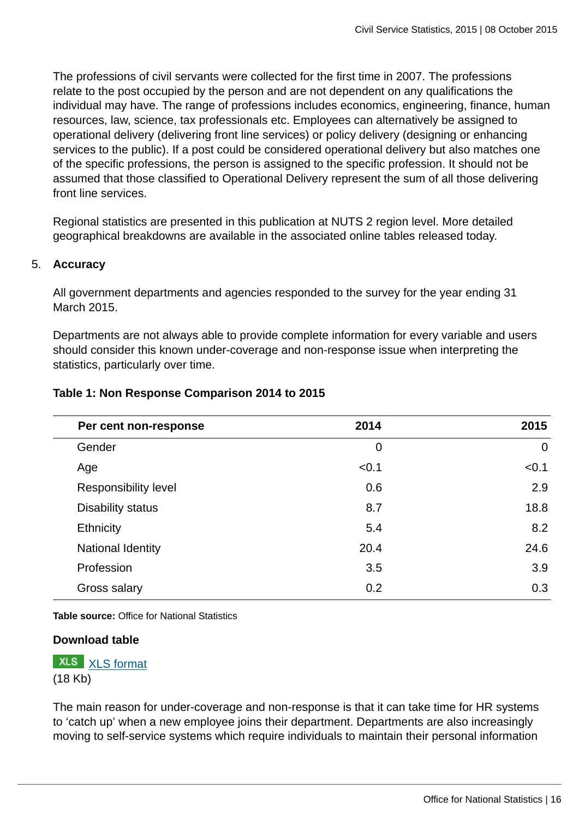The professions of civil servants were collected for the first time in 2007. The professions relate to the post occupied by the person and are not dependent on any qualifications the individual may have. The range of professions includes economics, engineering, finance, human resources, law, science, tax professionals etc. Employees can alternatively be assigned to operational delivery (delivering front line services) or policy delivery (designing or enhancing services to the public). If a post could be considered operational delivery but also matches one of the specific professions, the person is assigned to the specific profession. It should not be assumed that those classified to Operational Delivery represent the sum of all those delivering front line services.

Regional statistics are presented in this publication at NUTS 2 region level. More detailed geographical breakdowns are available in the associated online tables released today.

#### 5. **Accuracy**

All government departments and agencies responded to the survey for the year ending 31 March 2015.

Departments are not always able to provide complete information for every variable and users should consider this known under-coverage and non-response issue when interpreting the statistics, particularly over time.

|  | Table 1: Non Response Comparison 2014 to 2015 |
|--|-----------------------------------------------|
|--|-----------------------------------------------|

| Per cent non-response    | 2014        | 2015        |
|--------------------------|-------------|-------------|
| Gender                   | $\mathbf 0$ | $\mathbf 0$ |
| Age                      | < 0.1       | < 0.1       |
| Responsibility level     | 0.6         | 2.9         |
| <b>Disability status</b> | 8.7         | 18.8        |
| Ethnicity                | 5.4         | 8.2         |
| National Identity        | 20.4        | 24.6        |
| Profession               | 3.5         | 3.9         |
| Gross salary             | 0.2         | 0.3         |

**Table source:** Office for National Statistics

#### **Download table**



The main reason for under-coverage and non-response is that it can take time for HR systems to 'catch up' when a new employee joins their department. Departments are also increasingly moving to self-service systems which require individuals to maintain their personal information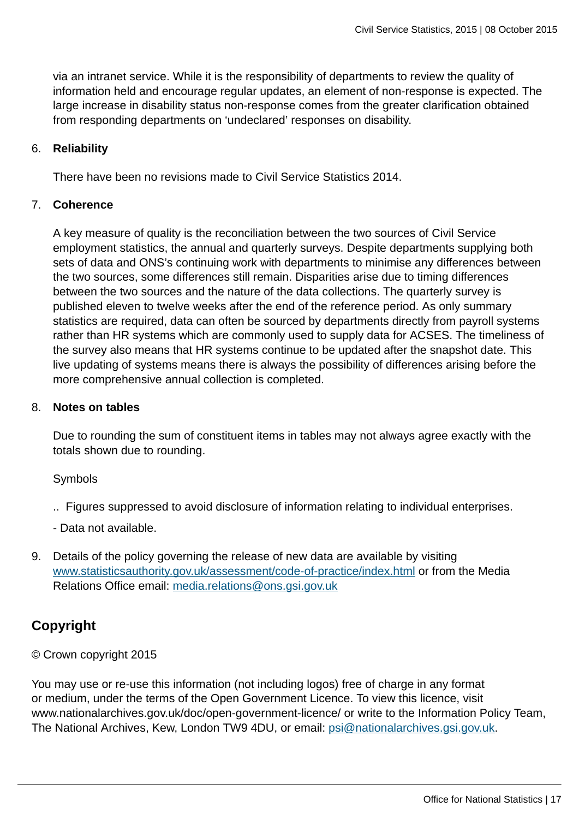via an intranet service. While it is the responsibility of departments to review the quality of information held and encourage regular updates, an element of non-response is expected. The large increase in disability status non-response comes from the greater clarification obtained from responding departments on 'undeclared' responses on disability.

#### 6. **Reliability**

There have been no revisions made to Civil Service Statistics 2014.

#### 7. **Coherence**

A key measure of quality is the reconciliation between the two sources of Civil Service employment statistics, the annual and quarterly surveys. Despite departments supplying both sets of data and ONS's continuing work with departments to minimise any differences between the two sources, some differences still remain. Disparities arise due to timing differences between the two sources and the nature of the data collections. The quarterly survey is published eleven to twelve weeks after the end of the reference period. As only summary statistics are required, data can often be sourced by departments directly from payroll systems rather than HR systems which are commonly used to supply data for ACSES. The timeliness of the survey also means that HR systems continue to be updated after the snapshot date. This live updating of systems means there is always the possibility of differences arising before the more comprehensive annual collection is completed.

#### 8. **Notes on tables**

Due to rounding the sum of constituent items in tables may not always agree exactly with the totals shown due to rounding.

#### Symbols

- .. Figures suppressed to avoid disclosure of information relating to individual enterprises.
- Data not available.
- 9. Details of the policy governing the release of new data are available by visiting [www.statisticsauthority.gov.uk/assessment/code-of-practice/index.html](http://www.statisticsauthority.gov.uk/assessment/code-of-practice/index.html) or from the Media Relations Office email: [media.relations@ons.gsi.gov.uk](mailto:media.relations@ons.gsi.gov.uk)

# **Copyright**

#### © Crown copyright 2015

You may use or re-use this information (not including logos) free of charge in any format or medium, under the terms of the Open Government Licence. To view this licence, visit www.nationalarchives.gov.uk/doc/open-government-licence/ or write to the Information Policy Team, The National Archives, Kew, London TW9 4DU, or email: [psi@nationalarchives.gsi.gov.uk](mailto:psi@nationalarchives.gsi.gov.uk).